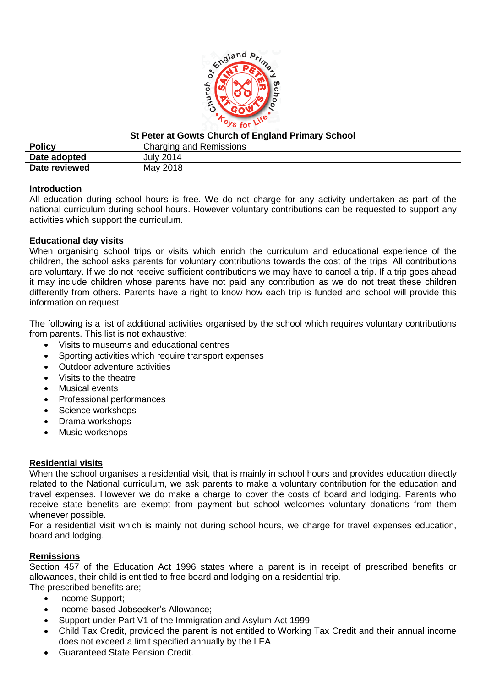

#### **St Peter at Gowts Church of England Primary School**

| <b>Policy</b> | Charging and Remissions |
|---------------|-------------------------|
| Date adopted  | <b>July 2014</b>        |
| Date reviewed | May 2018                |

## **Introduction**

All education during school hours is free. We do not charge for any activity undertaken as part of the national curriculum during school hours. However voluntary contributions can be requested to support any activities which support the curriculum.

## **Educational day visits**

When organising school trips or visits which enrich the curriculum and educational experience of the children, the school asks parents for voluntary contributions towards the cost of the trips. All contributions are voluntary. If we do not receive sufficient contributions we may have to cancel a trip. If a trip goes ahead it may include children whose parents have not paid any contribution as we do not treat these children differently from others. Parents have a right to know how each trip is funded and school will provide this information on request.

The following is a list of additional activities organised by the school which requires voluntary contributions from parents. This list is not exhaustive:

- Visits to museums and educational centres
- Sporting activities which require transport expenses
- Outdoor adventure activities
- Visits to the theatre
- Musical events
- Professional performances
- Science workshops
- Drama workshops
- Music workshops

# **Residential visits**

When the school organises a residential visit, that is mainly in school hours and provides education directly related to the National curriculum, we ask parents to make a voluntary contribution for the education and travel expenses. However we do make a charge to cover the costs of board and lodging. Parents who receive state benefits are exempt from payment but school welcomes voluntary donations from them whenever possible.

For a residential visit which is mainly not during school hours, we charge for travel expenses education, board and lodging.

#### **Remissions**

Section 457 of the Education Act 1996 states where a parent is in receipt of prescribed benefits or allowances, their child is entitled to free board and lodging on a residential trip.

The prescribed benefits are;

- Income Support:
- Income-based Jobseeker's Allowance;
- Support under Part V1 of the Immigration and Asylum Act 1999;
- Child Tax Credit, provided the parent is not entitled to Working Tax Credit and their annual income does not exceed a limit specified annually by the LEA
- Guaranteed State Pension Credit.